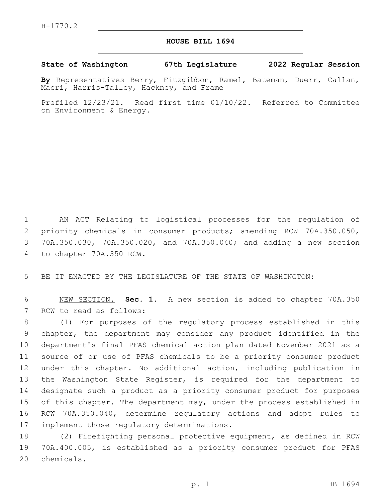## **HOUSE BILL 1694**

## **State of Washington 67th Legislature 2022 Regular Session**

**By** Representatives Berry, Fitzgibbon, Ramel, Bateman, Duerr, Callan, Macri, Harris-Talley, Hackney, and Frame

Prefiled 12/23/21. Read first time 01/10/22. Referred to Committee on Environment & Energy.

 AN ACT Relating to logistical processes for the regulation of priority chemicals in consumer products; amending RCW 70A.350.050, 70A.350.030, 70A.350.020, and 70A.350.040; and adding a new section 4 to chapter 70A.350 RCW.

5 BE IT ENACTED BY THE LEGISLATURE OF THE STATE OF WASHINGTON:

6 NEW SECTION. **Sec. 1.** A new section is added to chapter 70A.350 7 RCW to read as follows:

 (1) For purposes of the regulatory process established in this chapter, the department may consider any product identified in the department's final PFAS chemical action plan dated November 2021 as a source of or use of PFAS chemicals to be a priority consumer product under this chapter. No additional action, including publication in 13 the Washington State Register, is required for the department to designate such a product as a priority consumer product for purposes 15 of this chapter. The department may, under the process established in RCW 70A.350.040, determine regulatory actions and adopt rules to 17 implement those regulatory determinations.

18 (2) Firefighting personal protective equipment, as defined in RCW 19 70A.400.005, is established as a priority consumer product for PFAS 20 chemicals.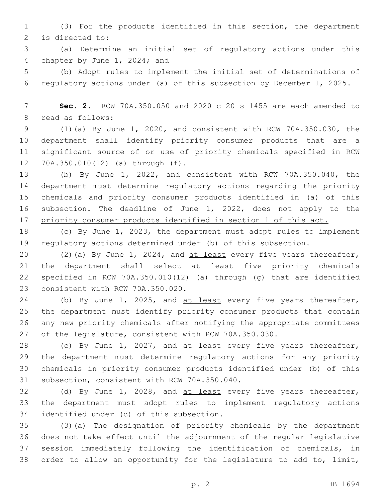(3) For the products identified in this section, the department 2 is directed to:

 (a) Determine an initial set of regulatory actions under this 4 chapter by June 1, 2024; and

 (b) Adopt rules to implement the initial set of determinations of regulatory actions under (a) of this subsection by December 1, 2025.

 **Sec. 2.** RCW 70A.350.050 and 2020 c 20 s 1455 are each amended to 8 read as follows:

 (1)(a) By June 1, 2020, and consistent with RCW 70A.350.030, the department shall identify priority consumer products that are a significant source of or use of priority chemicals specified in RCW 70A.350.010(12) (a) through (f).12

 (b) By June 1, 2022, and consistent with RCW 70A.350.040, the department must determine regulatory actions regarding the priority chemicals and priority consumer products identified in (a) of this subsection. The deadline of June 1, 2022, does not apply to the priority consumer products identified in section 1 of this act.

 (c) By June 1, 2023, the department must adopt rules to implement regulatory actions determined under (b) of this subsection.

20 (2)(a) By June 1, 2024, and at least every five years thereafter, the department shall select at least five priority chemicals specified in RCW 70A.350.010(12) (a) through (g) that are identified 23 consistent with RCW 70A.350.020.

24 (b) By June 1, 2025, and at least every five years thereafter, the department must identify priority consumer products that contain any new priority chemicals after notifying the appropriate committees of the legislature, consistent with RCW 70A.350.030.

 (c) By June 1, 2027, and at least every five years thereafter, the department must determine regulatory actions for any priority chemicals in priority consumer products identified under (b) of this 31 subsection, consistent with RCW 70A.350.040.

32 (d) By June 1, 2028, and at least every five years thereafter, the department must adopt rules to implement regulatory actions 34 identified under (c) of this subsection.

 (3)(a) The designation of priority chemicals by the department does not take effect until the adjournment of the regular legislative session immediately following the identification of chemicals, in order to allow an opportunity for the legislature to add to, limit,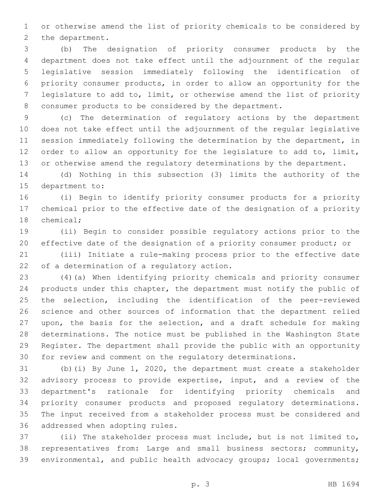or otherwise amend the list of priority chemicals to be considered by 2 the department.

 (b) The designation of priority consumer products by the department does not take effect until the adjournment of the regular legislative session immediately following the identification of priority consumer products, in order to allow an opportunity for the legislature to add to, limit, or otherwise amend the list of priority consumer products to be considered by the department.

 (c) The determination of regulatory actions by the department does not take effect until the adjournment of the regular legislative session immediately following the determination by the department, in order to allow an opportunity for the legislature to add to, limit, 13 or otherwise amend the regulatory determinations by the department.

 (d) Nothing in this subsection (3) limits the authority of the 15 department to:

 (i) Begin to identify priority consumer products for a priority chemical prior to the effective date of the designation of a priority 18 chemical;

 (ii) Begin to consider possible regulatory actions prior to the effective date of the designation of a priority consumer product; or

 (iii) Initiate a rule-making process prior to the effective date 22 of a determination of a regulatory action.

 (4)(a) When identifying priority chemicals and priority consumer products under this chapter, the department must notify the public of the selection, including the identification of the peer-reviewed science and other sources of information that the department relied upon, the basis for the selection, and a draft schedule for making determinations. The notice must be published in the Washington State Register. The department shall provide the public with an opportunity for review and comment on the regulatory determinations.

 (b)(i) By June 1, 2020, the department must create a stakeholder advisory process to provide expertise, input, and a review of the department's rationale for identifying priority chemicals and priority consumer products and proposed regulatory determinations. The input received from a stakeholder process must be considered and 36 addressed when adopting rules.

 (ii) The stakeholder process must include, but is not limited to, representatives from: Large and small business sectors; community, environmental, and public health advocacy groups; local governments;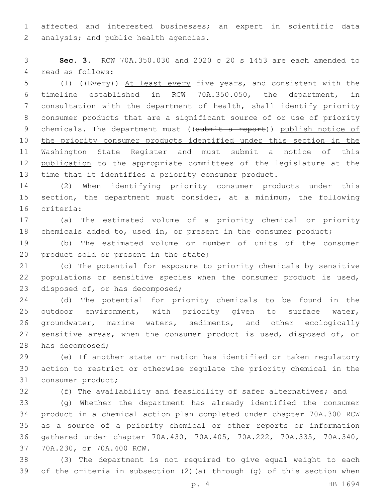affected and interested businesses; an expert in scientific data 2 analysis; and public health agencies.

 **Sec. 3.** RCW 70A.350.030 and 2020 c 20 s 1453 are each amended to 4 read as follows:

5 (1) ((Every)) At least every five years, and consistent with the timeline established in RCW 70A.350.050, the department, in consultation with the department of health, shall identify priority consumer products that are a significant source of or use of priority 9 chemicals. The department must ((submit a report)) publish notice of the priority consumer products identified under this section in the Washington State Register and must submit a notice of this publication to the appropriate committees of the legislature at the time that it identifies a priority consumer product.

 (2) When identifying priority consumer products under this section, the department must consider, at a minimum, the following 16 criteria:

 (a) The estimated volume of a priority chemical or priority chemicals added to, used in, or present in the consumer product;

 (b) The estimated volume or number of units of the consumer 20 product sold or present in the state;

 (c) The potential for exposure to priority chemicals by sensitive populations or sensitive species when the consumer product is used, 23 disposed of, or has decomposed;

 (d) The potential for priority chemicals to be found in the outdoor environment, with priority given to surface water, groundwater, marine waters, sediments, and other ecologically 27 sensitive areas, when the consumer product is used, disposed of, or 28 has decomposed;

 (e) If another state or nation has identified or taken regulatory action to restrict or otherwise regulate the priority chemical in the 31 consumer product;

(f) The availability and feasibility of safer alternatives; and

 (g) Whether the department has already identified the consumer product in a chemical action plan completed under chapter 70A.300 RCW as a source of a priority chemical or other reports or information gathered under chapter 70A.430, 70A.405, 70A.222, 70A.335, 70A.340, 37 70A.230, or 70A.400 RCW.

 (3) The department is not required to give equal weight to each of the criteria in subsection (2)(a) through (g) of this section when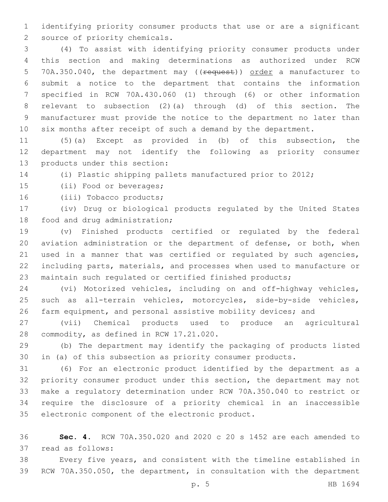identifying priority consumer products that use or are a significant 2 source of priority chemicals.

 (4) To assist with identifying priority consumer products under this section and making determinations as authorized under RCW 5 70A.350.040, the department may ((request)) order a manufacturer to submit a notice to the department that contains the information specified in RCW 70A.430.060 (1) through (6) or other information relevant to subsection (2)(a) through (d) of this section. The manufacturer must provide the notice to the department no later than six months after receipt of such a demand by the department.

 (5)(a) Except as provided in (b) of this subsection, the department may not identify the following as priority consumer 13 products under this section:

(i) Plastic shipping pallets manufactured prior to 2012;

15 (ii) Food or beverages;

16 (iii) Tobacco products;

 (iv) Drug or biological products regulated by the United States 18 food and drug administration;

 (v) Finished products certified or regulated by the federal aviation administration or the department of defense, or both, when used in a manner that was certified or regulated by such agencies, including parts, materials, and processes when used to manufacture or maintain such regulated or certified finished products;

 (vi) Motorized vehicles, including on and off-highway vehicles, such as all-terrain vehicles, motorcycles, side-by-side vehicles, farm equipment, and personal assistive mobility devices; and

 (vii) Chemical products used to produce an agricultural 28 commodity, as defined in RCW 17.21.020.

 (b) The department may identify the packaging of products listed in (a) of this subsection as priority consumer products.

 (6) For an electronic product identified by the department as a priority consumer product under this section, the department may not make a regulatory determination under RCW 70A.350.040 to restrict or require the disclosure of a priority chemical in an inaccessible 35 electronic component of the electronic product.

 **Sec. 4.** RCW 70A.350.020 and 2020 c 20 s 1452 are each amended to 37 read as follows:

 Every five years, and consistent with the timeline established in RCW 70A.350.050, the department, in consultation with the department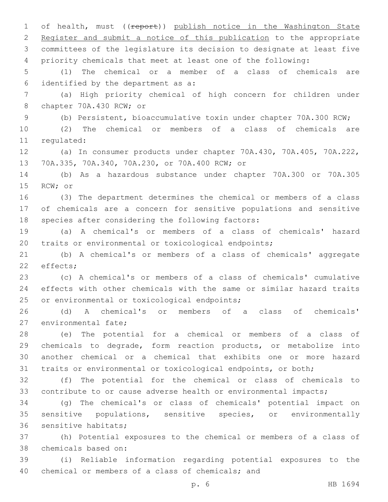1 of health, must ((report)) publish notice in the Washington State Register and submit a notice of this publication to the appropriate committees of the legislature its decision to designate at least five priority chemicals that meet at least one of the following: (1) The chemical or a member of a class of chemicals are 6 identified by the department as  $a$ : (a) High priority chemical of high concern for children under 8 chapter 70A.430 RCW; or (b) Persistent, bioaccumulative toxin under chapter 70A.300 RCW; (2) The chemical or members of a class of chemicals are 11 regulated: (a) In consumer products under chapter 70A.430, 70A.405, 70A.222, 70A.335, 70A.340, 70A.230, or 70A.400 RCW; or13 (b) As a hazardous substance under chapter 70A.300 or 70A.305 15 RCW; or (3) The department determines the chemical or members of a class of chemicals are a concern for sensitive populations and sensitive 18 species after considering the following factors: (a) A chemical's or members of a class of chemicals' hazard traits or environmental or toxicological endpoints; (b) A chemical's or members of a class of chemicals' aggregate 22 effects; (c) A chemical's or members of a class of chemicals' cumulative effects with other chemicals with the same or similar hazard traits 25 or environmental or toxicological endpoints; (d) A chemical's or members of a class of chemicals' 27 environmental fate; (e) The potential for a chemical or members of a class of chemicals to degrade, form reaction products, or metabolize into another chemical or a chemical that exhibits one or more hazard traits or environmental or toxicological endpoints, or both; (f) The potential for the chemical or class of chemicals to contribute to or cause adverse health or environmental impacts; (g) The chemical's or class of chemicals' potential impact on sensitive populations, sensitive species, or environmentally 36 sensitive habitats; (h) Potential exposures to the chemical or members of a class of 38 chemicals based on:

 (i) Reliable information regarding potential exposures to the 40 chemical or members of a class of chemicals; and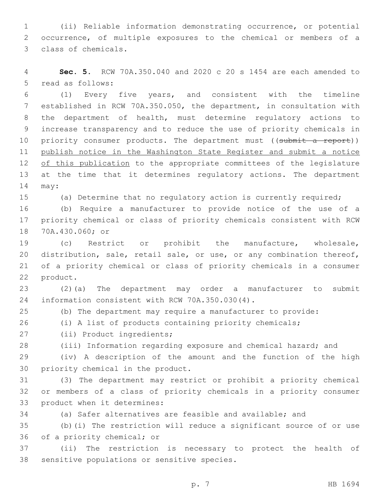(ii) Reliable information demonstrating occurrence, or potential occurrence, of multiple exposures to the chemical or members of a 3 class of chemicals.

 **Sec. 5.** RCW 70A.350.040 and 2020 c 20 s 1454 are each amended to 5 read as follows:

 (1) Every five years, and consistent with the timeline established in RCW 70A.350.050, the department, in consultation with the department of health, must determine regulatory actions to increase transparency and to reduce the use of priority chemicals in 10 priority consumer products. The department must ((submit a report)) publish notice in the Washington State Register and submit a notice 12 of this publication to the appropriate committees of the legislature 13 at the time that it determines regulatory actions. The department 14 may:

(a) Determine that no regulatory action is currently required;

 (b) Require a manufacturer to provide notice of the use of a priority chemical or class of priority chemicals consistent with RCW 70A.430.060; or18

 (c) Restrict or prohibit the manufacture, wholesale, distribution, sale, retail sale, or use, or any combination thereof, of a priority chemical or class of priority chemicals in a consumer 22 product.

 (2)(a) The department may order a manufacturer to submit 24 information consistent with RCW 70A.350.030(4).

(b) The department may require a manufacturer to provide:

(i) A list of products containing priority chemicals;

27 (ii) Product ingredients;

(iii) Information regarding exposure and chemical hazard; and

 (iv) A description of the amount and the function of the high 30 priority chemical in the product.

 (3) The department may restrict or prohibit a priority chemical or members of a class of priority chemicals in a priority consumer 33 product when it determines:

(a) Safer alternatives are feasible and available; and

 (b)(i) The restriction will reduce a significant source of or use 36 of a priority chemical; or

 (ii) The restriction is necessary to protect the health of 38 sensitive populations or sensitive species.